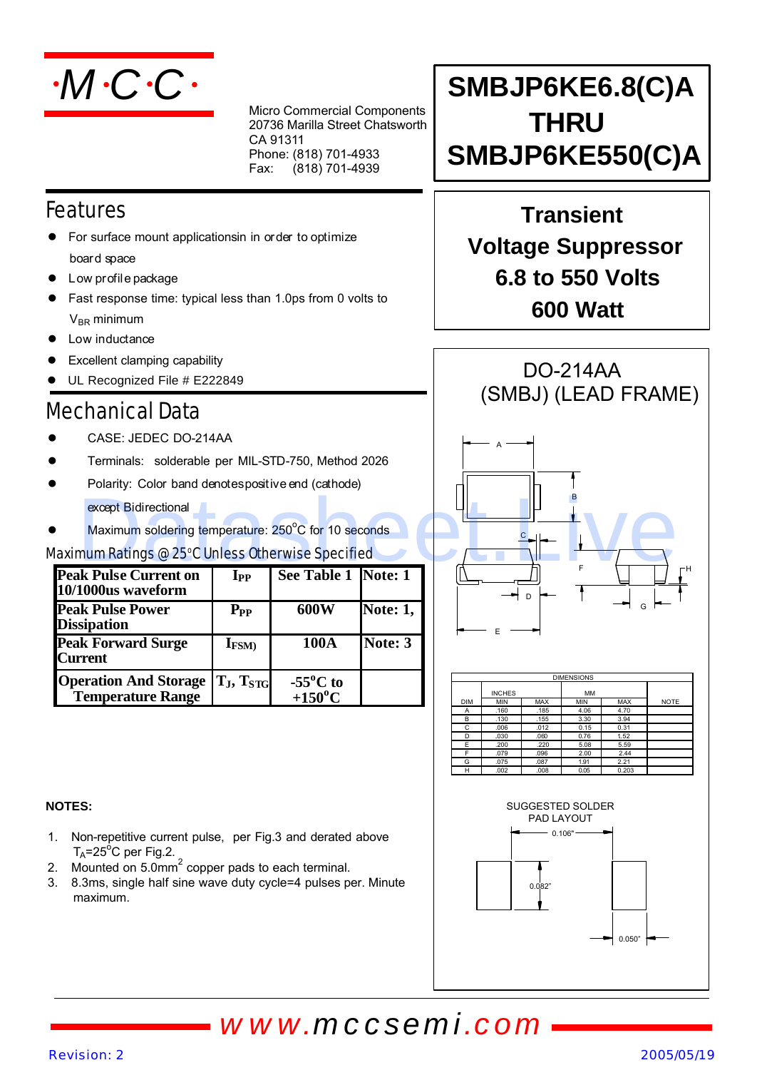

Micro Commercial Components 20736 Marilla Street Chatsworth CA 91311 Phone: (818) 701-4933  $Fax:$  $(818)$  701-4939

### Features

- For surface mount applicationsin in order to optimize board space
- l Low profile package
- Fast response time: typical less than 1.0ps from 0 volts to  $V_{BR}$  minimum
- Low inductance
- 
- UL Recognized File # E222849

### Mechanical Data

- CASE: JEDEC DO-214AA
- l Terminals: solderable per MIL-STD-750, Method 2026
- Polarity: Color band denotes positive end (cathode) except Bidirectional
- Maximum soldering temperature: 250°C for 10 seconds

#### Maximum Ratings @ 25°C Unless Otherwise Specified

| <b>Peak Pulse Current on</b><br>10/1000us waveform       | $\mathbf{I}_{\mathbf{PP}}$ | See Table 1 Note: 1                    |                 |
|----------------------------------------------------------|----------------------------|----------------------------------------|-----------------|
| <b>Peak Pulse Power</b><br><b>Dissipation</b>            | $P_{PP}$                   | 600W                                   | <b>Note: 1,</b> |
| <b>Peak Forward Surge</b><br><b>Current</b>              | $I_{FSM}$                  | 100A                                   | Note: 3         |
| <b>Operation And Storage</b><br><b>Temperature Range</b> | $T_J, T_{STG}$             | $-55^{\circ}$ C to<br>$+150^{\circ}$ C |                 |

## **SMBJP6KE6.8(C)A THRU SMBJP6KE550(C)A**

### **Transient Voltage Suppressor 6.8 to 550 Volts 600 Watt**



| <b>DIMENSIONS</b> |               |            |           |       |             |  |  |
|-------------------|---------------|------------|-----------|-------|-------------|--|--|
|                   | <b>INCHES</b> |            | <b>MM</b> |       |             |  |  |
| <b>DIM</b>        | <b>MIN</b>    | <b>MAX</b> | MIN       | MAX   | <b>NOTE</b> |  |  |
| Α                 | .160          | .185       | 4.06      | 4.70  |             |  |  |
| B                 | .130          | .155       | 3.30      | 3.94  |             |  |  |
| C                 | .006          | .012       | 0.15      | 0.31  |             |  |  |
| D                 | .030          | .060       | 0.76      | 1.52  |             |  |  |
| F                 | .200          | .220       | 5.08      | 5.59  |             |  |  |
|                   | .079          | .096       | 2.00      | 2.44  |             |  |  |
| G                 | .075          | .087       | 1.91      | 2.21  |             |  |  |
| н                 | .002          | .008       | 0.05      | 0.203 |             |  |  |



- 1. Non-repetitive current pulse, per Fig.3 and derated above  $T_A = 25^\circ C$  per Fig.2.
- 2. Mounted on  $5.0$ mm $^2$  copper pads to each terminal.
- 3. 8.3ms, single half sine wave duty cycle=4 pulses per. Minute maximum.



## *www.mccsemi.com*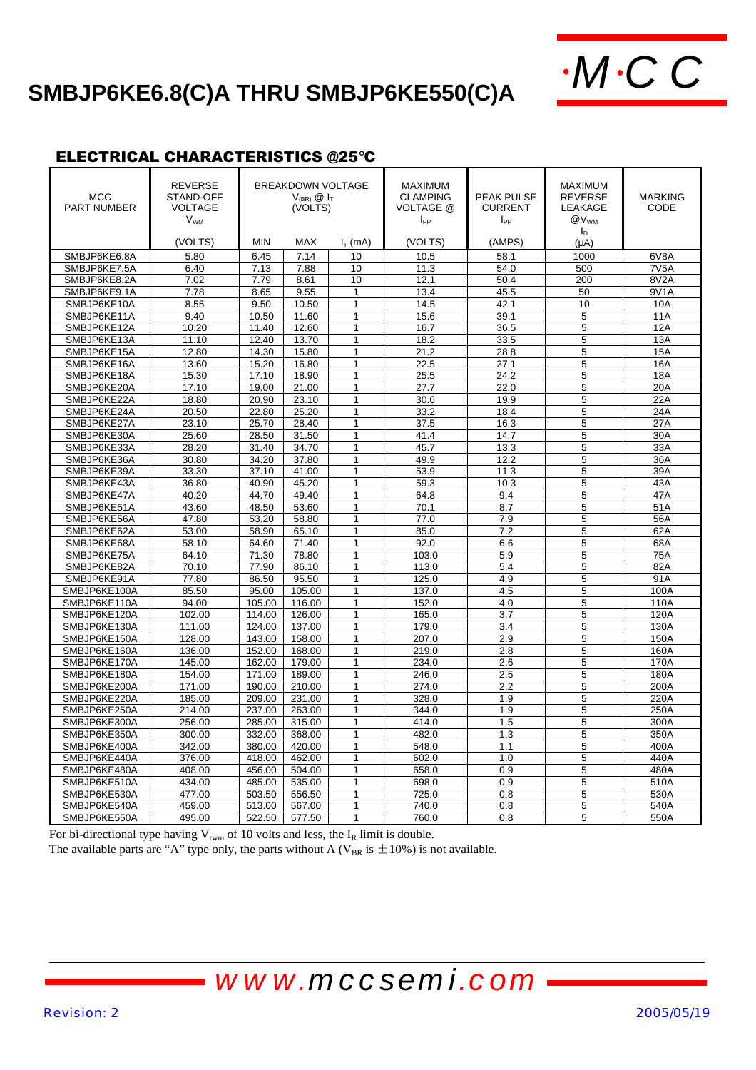# **SMBJP6KE6.8(C)A THRU SMBJP6KE550(C)A**  $\cdot MCC$



#### ELECTRICAL CHARACTERISTICS @25°C

| <b>MCC</b><br><b>PART NUMBER</b> | <b>REVERSE</b><br>STAND-OFF<br><b>VOLTAGE</b><br><b>V<sub>WM</sub></b><br>(VOLTS) | <b>BREAKDOWN VOLTAGE</b><br>$V_{(BR)}$ $\odot$ $I_T$<br>(VOLTS)<br><b>MIN</b><br>MAX<br>$I_T$ (mA) |        | <b>MAXIMUM</b><br><b>CLAMPING</b><br><b>VOLTAGE @</b><br>$I_{PP}$<br>(VOLTS) | <b>PEAK PULSE</b><br><b>CURRENT</b><br>$I_{PP}$<br>(AMPS) | <b>MAXIMUM</b><br><b>REVERSE</b><br>LEAKAGE<br>@V <sub>WM</sub><br>$I_{\rm D}$<br>(uA) | <b>MARKING</b><br><b>CODE</b> |                   |
|----------------------------------|-----------------------------------------------------------------------------------|----------------------------------------------------------------------------------------------------|--------|------------------------------------------------------------------------------|-----------------------------------------------------------|----------------------------------------------------------------------------------------|-------------------------------|-------------------|
| SMBJP6KE6.8A                     | 5.80                                                                              | 6.45                                                                                               | 7.14   | 10                                                                           | 10.5                                                      | 58.1                                                                                   | 1000                          | 6V8A              |
|                                  |                                                                                   |                                                                                                    |        |                                                                              |                                                           |                                                                                        |                               |                   |
| SMBJP6KE7.5A                     | 6.40                                                                              | 7.13                                                                                               | 7.88   | 10                                                                           | 11.3                                                      | 54.0                                                                                   | 500                           | 7V <sub>5</sub> A |
| SMBJP6KE8.2A                     | 7.02                                                                              | 7.79                                                                                               | 8.61   | 10                                                                           | 12.1                                                      | 50.4                                                                                   | 200                           | 8V2A              |
| SMBJP6KE9.1A                     | 7.78                                                                              | 8.65                                                                                               | 9.55   | 1                                                                            | 13.4                                                      | 45.5                                                                                   | 50                            | 9V1A              |
| SMBJP6KE10A                      | 8.55                                                                              | 9.50                                                                                               | 10.50  | $\mathbf{1}$                                                                 | 14.5                                                      | 42.1                                                                                   | 10                            | 10A               |
| SMBJP6KE11A                      | 9.40                                                                              | 10.50                                                                                              | 11.60  | $\mathbf{1}$                                                                 | 15.6                                                      | 39.1                                                                                   | 5                             | 11A               |
| SMBJP6KE12A                      | 10.20                                                                             | 11.40                                                                                              | 12.60  | $\mathbf{1}$                                                                 | 16.7                                                      | 36.5                                                                                   | 5                             | 12A               |
| SMBJP6KE13A                      | 11.10                                                                             | 12.40                                                                                              | 13.70  | $\mathbf{1}$                                                                 | 18.2                                                      | 33.5                                                                                   | 5                             | 13A               |
| SMBJP6KE15A                      | 12.80                                                                             | 14.30                                                                                              | 15.80  | $\mathbf{1}$                                                                 | 21.2                                                      | 28.8                                                                                   | 5                             | 15A               |
| SMBJP6KE16A                      | 13.60                                                                             | 15.20                                                                                              | 16.80  | 1                                                                            | 22.5                                                      | 27.1                                                                                   | 5                             | 16A               |
| SMBJP6KE18A                      | 15.30                                                                             | 17.10                                                                                              | 18.90  | $\mathbf{1}$                                                                 | 25.5                                                      | 24.2                                                                                   | 5                             | 18A               |
| SMBJP6KE20A                      | 17.10                                                                             | 19.00                                                                                              | 21.00  | $\mathbf{1}$                                                                 | 27.7                                                      | 22.0                                                                                   | 5                             | 20A               |
| SMBJP6KE22A                      | 18.80                                                                             | 20.90                                                                                              | 23.10  | $\mathbf{1}$                                                                 | 30.6                                                      | 19.9                                                                                   | 5                             | 22A               |
| SMBJP6KE24A                      | 20.50                                                                             | 22.80                                                                                              | 25.20  | $\mathbf{1}$                                                                 | 33.2                                                      | 18.4                                                                                   | 5                             | 24A               |
| SMBJP6KE27A                      | 23.10                                                                             | 25.70                                                                                              | 28.40  | 1                                                                            | 37.5                                                      | 16.3                                                                                   | 5                             | 27A               |
| SMBJP6KE30A                      | 25.60                                                                             | 28.50                                                                                              | 31.50  | $\mathbf{1}$                                                                 | 41.4                                                      | 14.7                                                                                   | 5                             | 30A               |
| SMBJP6KE33A                      | 28.20                                                                             | 31.40                                                                                              | 34.70  | $\mathbf{1}$                                                                 | 45.7                                                      | 13.3                                                                                   | 5                             | 33A               |
| SMBJP6KE36A                      | 30.80                                                                             | 34.20                                                                                              | 37.80  | 1                                                                            | 49.9                                                      | 12.2                                                                                   | 5                             | 36A               |
| SMBJP6KE39A                      | 33.30                                                                             | 37.10                                                                                              | 41.00  | 1                                                                            | 53.9                                                      | 11.3                                                                                   | 5                             | 39A               |
| SMBJP6KE43A                      | 36.80                                                                             | 40.90                                                                                              | 45.20  | $\mathbf{1}$                                                                 | 59.3                                                      | 10.3                                                                                   | 5                             | 43A               |
| SMBJP6KE47A                      | 40.20                                                                             | 44.70                                                                                              | 49.40  | $\mathbf{1}$                                                                 | 64.8                                                      | 9.4                                                                                    | 5                             | 47A               |
| SMBJP6KE51A                      | 43.60                                                                             | 48.50                                                                                              | 53.60  | $\mathbf{1}$                                                                 | 70.1                                                      | 8.7                                                                                    | 5                             | 51A               |
| SMBJP6KE56A                      | 47.80                                                                             | 53.20                                                                                              | 58.80  | $\mathbf{1}$                                                                 | 77.0                                                      | 7.9                                                                                    | 5                             | 56A               |
| SMBJP6KE62A                      | 53.00                                                                             | 58.90                                                                                              | 65.10  | $\mathbf{1}$                                                                 | 85.0                                                      | 7.2                                                                                    | 5                             | 62A               |
| SMBJP6KE68A                      | 58.10                                                                             | 64.60                                                                                              | 71.40  | $\mathbf{1}$                                                                 | 92.0                                                      | 6.6                                                                                    | 5                             | 68A               |
| SMBJP6KE75A                      | 64.10                                                                             | 71.30                                                                                              | 78.80  | 1                                                                            | 103.0                                                     | 5.9                                                                                    | 5                             | 75A               |
| SMBJP6KE82A                      | 70.10                                                                             | 77.90                                                                                              | 86.10  | $\mathbf{1}$                                                                 | 113.0                                                     | 5.4                                                                                    | 5                             | 82A               |
| SMBJP6KE91A                      | 77.80                                                                             | 86.50                                                                                              | 95.50  | $\mathbf{1}$                                                                 | 125.0                                                     | 4.9                                                                                    | 5                             | 91A               |
| SMBJP6KE100A                     | 85.50                                                                             | 95.00                                                                                              | 105.00 | $\mathbf{1}$                                                                 | 137.0                                                     | 4.5                                                                                    | 5                             | 100A              |
| SMBJP6KE110A                     | 94.00                                                                             | 105.00                                                                                             | 116.00 | $\mathbf{1}$                                                                 | 152.0                                                     | 4.0                                                                                    | 5                             | 110A              |
| SMBJP6KE120A                     | 102.00                                                                            | 114.00                                                                                             | 126.00 | $\mathbf{1}$                                                                 | 165.0                                                     | 3.7                                                                                    | 5                             | 120A              |
| SMBJP6KE130A                     | 111.00                                                                            | 124.00                                                                                             | 137.00 | $\mathbf{1}$                                                                 | 179.0                                                     | 3.4                                                                                    | 5                             | 130A              |
| SMBJP6KE150A                     | 128.00                                                                            | 143.00                                                                                             | 158.00 | $\mathbf{1}$                                                                 | 207.0                                                     | 2.9                                                                                    | 5                             | 150A              |
| SMBJP6KE160A                     | 136.00                                                                            | 152.00                                                                                             | 168.00 | $\mathbf{1}$                                                                 | 219.0                                                     | 2.8                                                                                    | 5                             | 160A              |
| SMBJP6KE170A                     | 145.00                                                                            | 162.00                                                                                             | 179.00 | $\mathbf{1}$                                                                 | 234.0                                                     | 2.6                                                                                    | 5                             | 170A              |
| SMBJP6KE180A                     | 154.00                                                                            | 171.00                                                                                             | 189.00 | 1                                                                            | 246.0                                                     | 2.5                                                                                    | 5                             | 180A              |
| SMBJP6KE200A                     | 171.00                                                                            | 190.00                                                                                             | 210.00 | 1                                                                            | 274.0                                                     | 2.2                                                                                    | 5                             | 200A              |
| SMBJP6KE220A                     | 185.00                                                                            | 209.00                                                                                             | 231.00 | $\mathbf{1}$                                                                 | 328.0                                                     | 1.9                                                                                    | 5                             | 220A              |
| SMBJP6KE250A                     | 214.00                                                                            | 237.00                                                                                             | 263.00 | $\mathbf{1}$                                                                 | 344.0                                                     | 1.9                                                                                    | 5                             | 250A              |
| SMBJP6KE300A                     | 256.00                                                                            | 285.00                                                                                             | 315.00 | 1                                                                            | 414.0                                                     | 1.5                                                                                    | 5                             | 300A              |
| SMBJP6KE350A                     | 300.00                                                                            | 332.00                                                                                             | 368.00 | $\mathbf{1}$                                                                 | 482.0                                                     | 1.3                                                                                    | 5                             | 350A              |
| SMBJP6KE400A                     | 342.00                                                                            | 380.00                                                                                             | 420.00 | $\mathbf{1}$                                                                 | 548.0                                                     | 1.1                                                                                    | 5                             | 400A              |
| SMBJP6KE440A                     | 376.00                                                                            | 418.00                                                                                             | 462.00 | $\mathbf{1}$                                                                 | 602.0                                                     | 1.0                                                                                    | 5                             | 440A              |
| SMBJP6KE480A                     | 408.00                                                                            | 456.00                                                                                             | 504.00 | $\mathbf{1}$                                                                 | 658.0                                                     | 0.9                                                                                    | 5                             | 480A              |
| SMBJP6KE510A                     | 434.00                                                                            | 485.00                                                                                             | 535.00 | $\mathbf{1}$                                                                 | 698.0                                                     | 0.9                                                                                    | 5                             | 510A              |
| SMBJP6KE530A                     | 477.00                                                                            | 503.50                                                                                             | 556.50 | $\mathbf{1}$                                                                 | 725.0                                                     | 0.8                                                                                    | 5                             | 530A              |
| SMBJP6KE540A                     | 459.00                                                                            | 513.00                                                                                             | 567.00 | $\mathbf{1}$                                                                 | 740.0                                                     | 0.8                                                                                    | 5                             | 540A              |
| SMBJP6KE550A                     | 495.00                                                                            | 522.50                                                                                             | 577.50 | $\mathbf{1}$                                                                 | 760.0                                                     | 0.8                                                                                    | 5                             | 550A              |

For bi-directional type having  $V_{\text{rwm}}$  of 10 volts and less, the  $I_R$  limit is double.

The available parts are "A" type only, the parts without A ( $V_{BR}$  is  $\pm 10\%$ ) is not available.

## *www.mccsemi.com*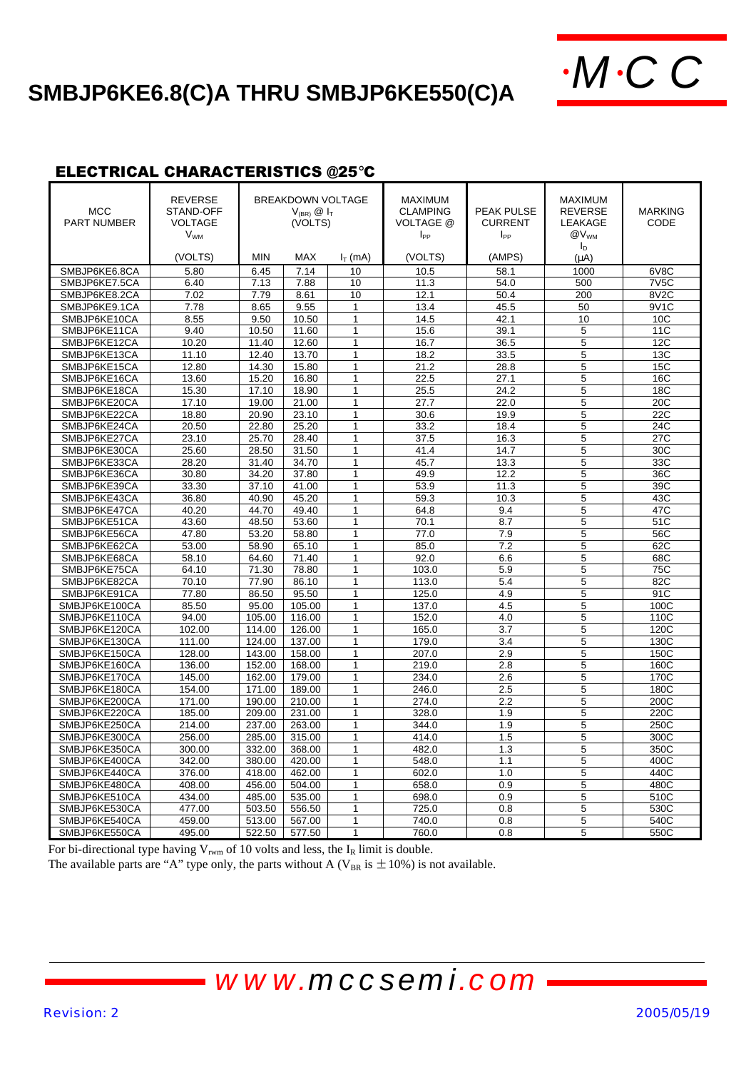# **SMBJP6KE6.8(C)A THRU SMBJP6KE550(C)A**  $\cdot MCC$



#### ELECTRICAL CHARACTERISTICS @25°C

| <b>MCC</b><br><b>PART NUMBER</b> | <b>REVERSE</b><br>STAND-OFF<br><b>VOLTAGE</b><br><b>V<sub>WM</sub></b><br>(VOLTS) | <b>BREAKDOWN VOLTAGE</b><br>$V_{(BR)}$ $\circledR$ $I_T$<br>(VOLTS)<br><b>MIN</b><br><b>MAX</b><br>$I_T$ (mA) |                | <b>MAXIMUM</b><br><b>CLAMPING</b><br>VOLTAGE @<br>$I_{PP}$<br>(VOLTS) | <b>PEAK PULSE</b><br><b>CURRENT</b><br>$I_{PP}$<br>(AMPS) | <b>MAXIMUM</b><br><b>REVERSE</b><br>LEAKAGE<br>@V <sub>WM</sub><br>$I_{\text{D}}$<br>$(\mu A)$ | <b>MARKING</b><br>CODE |                   |
|----------------------------------|-----------------------------------------------------------------------------------|---------------------------------------------------------------------------------------------------------------|----------------|-----------------------------------------------------------------------|-----------------------------------------------------------|------------------------------------------------------------------------------------------------|------------------------|-------------------|
| SMBJP6KE6.8CA                    | 5.80                                                                              | 6.45                                                                                                          | 7.14           | 10                                                                    | 10.5                                                      | 58.1                                                                                           | 1000                   | 6V8C              |
|                                  | 6.40                                                                              |                                                                                                               |                |                                                                       |                                                           |                                                                                                |                        | 7V <sub>5</sub> C |
| SMBJP6KE7.5CA                    | 7.02                                                                              | 7.13<br>7.79                                                                                                  | 7.88           | 10<br>10                                                              | 11.3                                                      | 54.0<br>50.4                                                                                   | 500<br>200             | 8V2C              |
| SMBJP6KE8.2CA<br>SMBJP6KE9.1CA   | 7.78                                                                              | 8.65                                                                                                          | 8.61<br>9.55   | 1                                                                     | 12.1                                                      | 45.5                                                                                           | 50                     | 9V1C              |
| SMBJP6KE10CA                     | 8.55                                                                              | 9.50                                                                                                          | 10.50          | $\mathbf{1}$                                                          | 13.4<br>14.5                                              | 42.1                                                                                           | 10                     | 10 <sub>C</sub>   |
| SMBJP6KE11CA                     | 9.40                                                                              | 10.50                                                                                                         | 11.60          | $\overline{1}$                                                        | 15.6                                                      | 39.1                                                                                           | 5                      | 11C               |
| SMBJP6KE12CA                     | 10.20                                                                             | 11.40                                                                                                         | 12.60          | $\mathbf{1}$                                                          | 16.7                                                      | 36.5                                                                                           | 5                      | 12C               |
|                                  | 11.10                                                                             | 12.40                                                                                                         | 13.70          | $\mathbf{1}$                                                          |                                                           |                                                                                                |                        |                   |
| SMBJP6KE13CA                     |                                                                                   |                                                                                                               |                |                                                                       | 18.2                                                      | 33.5                                                                                           | 5                      | 13C               |
| SMBJP6KE15CA                     | 12.80                                                                             | 14.30                                                                                                         | 15.80          | 1<br>$\mathbf{1}$                                                     | 21.2                                                      | 28.8                                                                                           | 5                      | 15C               |
| SMBJP6KE16CA<br>SMBJP6KE18CA     | 13.60<br>15.30                                                                    | 15.20                                                                                                         | 16.80          | $\mathbf{1}$                                                          | 22.5<br>25.5                                              | 27.1                                                                                           | 5<br>5                 | 16C<br>18C        |
|                                  |                                                                                   | 17.10                                                                                                         | 18.90<br>21.00 | $\mathbf{1}$                                                          |                                                           | 24.2<br>22.0                                                                                   | $\overline{5}$         | 20C               |
| SMBJP6KE20CA<br>SMBJP6KE22CA     | 17.10<br>18.80                                                                    | 19.00<br>20.90                                                                                                | 23.10          | $\mathbf{1}$                                                          | 27.7<br>30.6                                              | 19.9                                                                                           | 5                      | 22C               |
| SMBJP6KE24CA                     | 20.50                                                                             | 22.80                                                                                                         | 25.20          | $\mathbf{1}$                                                          | 33.2                                                      | 18.4                                                                                           | 5                      | 24C               |
| SMBJP6KE27CA                     | 23.10                                                                             | 25.70                                                                                                         | 28.40          | 1                                                                     | 37.5                                                      | 16.3                                                                                           | 5                      | 27C               |
| SMBJP6KE30CA                     | 25.60                                                                             | 28.50                                                                                                         | 31.50          | $\mathbf{1}$                                                          | 41.4                                                      | 14.7                                                                                           | 5                      | 30C               |
| SMBJP6KE33CA                     | 28.20                                                                             | 31.40                                                                                                         | 34.70          | $\mathbf{1}$                                                          | 45.7                                                      | 13.3                                                                                           | 5                      | 33C               |
|                                  |                                                                                   |                                                                                                               |                | $\mathbf{1}$                                                          |                                                           |                                                                                                |                        |                   |
| SMBJP6KE36CA<br>SMBJP6KE39CA     | 30.80<br>33.30                                                                    | 34.20<br>37.10                                                                                                | 37.80<br>41.00 | $\mathbf{1}$                                                          | 49.9<br>53.9                                              | 12.2<br>11.3                                                                                   | 5<br>5                 | 36C<br>39C        |
| SMBJP6KE43CA                     | 36.80                                                                             | 40.90                                                                                                         | 45.20          | $\mathbf{1}$                                                          | 59.3                                                      | 10.3                                                                                           | 5                      | 43C               |
| SMBJP6KE47CA                     | 40.20                                                                             | 44.70                                                                                                         | 49.40          | 1                                                                     | 64.8                                                      | 9.4                                                                                            | 5                      | 47C               |
| SMBJP6KE51CA                     | 43.60                                                                             | 48.50                                                                                                         | 53.60          | $\overline{1}$                                                        | 70.1                                                      | 8.7                                                                                            | 5                      | 51C               |
| SMBJP6KE56CA                     | 47.80                                                                             | 53.20                                                                                                         | 58.80          | $\mathbf{1}$                                                          | 77.0                                                      | 7.9                                                                                            | 5                      | 56C               |
| SMBJP6KE62CA                     | 53.00                                                                             | 58.90                                                                                                         | 65.10          | $\mathbf{1}$                                                          | 85.0                                                      | 7.2                                                                                            | 5                      | 62C               |
|                                  |                                                                                   | 64.60                                                                                                         | 71.40          | $\mathbf{1}$                                                          | 92.0                                                      |                                                                                                | 5                      |                   |
| SMBJP6KE68CA<br>SMBJP6KE75CA     | 58.10<br>64.10                                                                    | 71.30                                                                                                         | 78.80          | 1                                                                     | 103.0                                                     | 6.6<br>5.9                                                                                     | 5                      | 68C<br>75C        |
| SMBJP6KE82CA                     | 70.10                                                                             | 77.90                                                                                                         | 86.10          | $\mathbf{1}$                                                          | 113.0                                                     | 5.4                                                                                            | 5                      | 82C               |
| SMBJP6KE91CA                     | 77.80                                                                             | 86.50                                                                                                         | 95.50          | $\mathbf{1}$                                                          | 125.0                                                     | 4.9                                                                                            | 5                      | 91C               |
| SMBJP6KE100CA                    | 85.50                                                                             | 95.00                                                                                                         | 105.00         | 1                                                                     | 137.0                                                     | 4.5                                                                                            | 5                      | 100C              |
| SMBJP6KE110CA                    | 94.00                                                                             | 105.00                                                                                                        | 116.00         | $\mathbf{1}$                                                          | 152.0                                                     | 4.0                                                                                            | 5                      | 110C              |
| SMBJP6KE120CA                    | 102.00                                                                            | 114.00                                                                                                        | 126.00         | 1                                                                     | 165.0                                                     | 3.7                                                                                            | 5                      | 120C              |
| SMBJP6KE130CA                    | 111.00                                                                            | 124.00                                                                                                        | 137.00         | $\mathbf{1}$                                                          | 179.0                                                     | 3.4                                                                                            | 5                      | 130C              |
| SMBJP6KE150CA                    | 128.00                                                                            | 143.00                                                                                                        | 158.00         | $\mathbf{1}$                                                          | 207.0                                                     | 2.9                                                                                            | 5                      | 150C              |
| SMBJP6KE160CA                    | 136.00                                                                            | 152.00                                                                                                        | 168.00         | $\mathbf{1}$                                                          | 219.0                                                     | 2.8                                                                                            | 5                      | 160C              |
| SMBJP6KE170CA                    | 145.00                                                                            | 162.00                                                                                                        | 179.00         | $\mathbf{1}$                                                          | 234.0                                                     | 2.6                                                                                            | 5                      | 170C              |
| SMBJP6KE180CA                    | 154.00                                                                            | 171.00                                                                                                        | 189.00         | $\mathbf{1}$                                                          | 246.0                                                     | 2.5                                                                                            | 5                      | 180C              |
| SMBJP6KE200CA                    | 171.00                                                                            | 190.00                                                                                                        | 210.00         | 1                                                                     | 274.0                                                     | 2.2                                                                                            | 5                      | 200C              |
| SMBJP6KE220CA                    | 185.00                                                                            | 209.00                                                                                                        | 231.00         | $\mathbf{1}$                                                          | 328.0                                                     | 1.9                                                                                            | 5                      | 220C              |
| SMBJP6KE250CA                    | 214.00                                                                            | 237.00                                                                                                        | 263.00         | $\mathbf{1}$                                                          | 344.0                                                     | 1.9                                                                                            | 5                      | 250C              |
| SMBJP6KE300CA                    | 256.00                                                                            | 285.00                                                                                                        | 315.00         | $\mathbf{1}$                                                          | 414.0                                                     | 1.5                                                                                            | 5                      | 300C              |
| SMBJP6KE350CA                    | 300.00                                                                            | 332.00                                                                                                        | 368.00         | 1                                                                     | 482.0                                                     | 1.3                                                                                            | 5                      | 350C              |
| SMBJP6KE400CA                    | 342.00                                                                            | 380.00                                                                                                        | 420.00         | 1                                                                     | 548.0                                                     | 1.1                                                                                            | 5                      | 400C              |
| SMBJP6KE440CA                    | 376.00                                                                            | 418.00                                                                                                        | 462.00         | $\mathbf{1}$                                                          | 602.0                                                     | 1.0                                                                                            | 5                      | 440C              |
| SMBJP6KE480CA                    | 408.00                                                                            | 456.00                                                                                                        | 504.00         | $\mathbf{1}$                                                          | 658.0                                                     | 0.9                                                                                            | 5                      | 480C              |
| SMBJP6KE510CA                    | 434.00                                                                            | 485.00                                                                                                        | 535.00         | 1                                                                     | 698.0                                                     | 0.9                                                                                            | 5                      | 510C              |
| SMBJP6KE530CA                    | 477.00                                                                            | 503.50                                                                                                        | 556.50         | $\mathbf{1}$                                                          | 725.0                                                     | 0.8                                                                                            | 5                      | 530C              |
| SMBJP6KE540CA                    | 459.00                                                                            | 513.00                                                                                                        | 567.00         | 1                                                                     | 740.0                                                     | 0.8                                                                                            | 5                      | 540C              |
| SMBJP6KE550CA                    | 495.00                                                                            | 522.50                                                                                                        | 577.50         | $\mathbf{1}$                                                          | 760.0                                                     | 0.8                                                                                            | 5                      | 550C              |
|                                  |                                                                                   |                                                                                                               |                |                                                                       |                                                           |                                                                                                |                        |                   |

For bi-directional type having  $V_{\text{rwm}}$  of 10 volts and less, the  $I_R$  limit is double. The available parts are "A" type only, the parts without A ( $V_{BR}$  is  $\pm 10\%$ ) is not available.

*www.mccsemi.com*